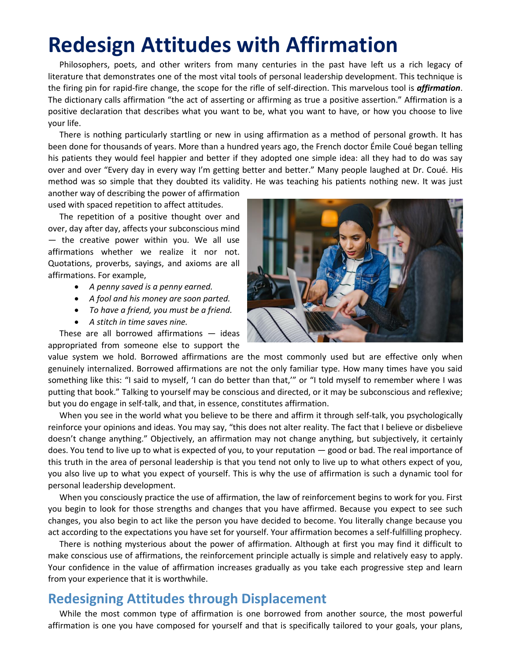## **Redesign Attitudes with Affirmation**

Philosophers, poets, and other writers from many centuries in the past have left us a rich legacy of literature that demonstrates one of the most vital tools of personal leadership development. This technique is the firing pin for rapid-fire change, the scope for the rifle of self-direction. This marvelous tool is *affirmation*. The dictionary calls affirmation "the act of asserting or affirming as true a positive assertion." Affirmation is a positive declaration that describes what you want to be, what you want to have, or how you choose to live your life.

There is nothing particularly startling or new in using affirmation as a method of personal growth. It has been done for thousands of years. More than a hundred years ago, the French doctor Émile Coué began telling his patients they would feel happier and better if they adopted one simple idea: all they had to do was say over and over "Every day in every way I'm getting better and better." Many people laughed at Dr. Coué. His method was so simple that they doubted its validity. He was teaching his patients nothing new. It was just

another way of describing the power of affirmation used with spaced repetition to affect attitudes.

The repetition of a positive thought over and over, day after day, affects your subconscious mind — the creative power within you. We all use affirmations whether we realize it nor not. Quotations, proverbs, sayings, and axioms are all affirmations. For example,

- *A penny saved is a penny earned.*
- *A fool and his money are soon parted.*
- *To have a friend, you must be a friend.*
- *A stitch in time saves nine.*

These are all borrowed affirmations — ideas appropriated from someone else to support the



value system we hold. Borrowed affirmations are the most commonly used but are effective only when genuinely internalized. Borrowed affirmations are not the only familiar type. How many times have you said something like this: "I said to myself, 'I can do better than that,'" or "I told myself to remember where I was putting that book." Talking to yourself may be conscious and directed, or it may be subconscious and reflexive; but you do engage in self-talk, and that, in essence, constitutes affirmation.

When you see in the world what you believe to be there and affirm it through self-talk, you psychologically reinforce your opinions and ideas. You may say, "this does not alter reality. The fact that I believe or disbelieve doesn't change anything." Objectively, an affirmation may not change anything, but subjectively, it certainly does. You tend to live up to what is expected of you, to your reputation — good or bad. The real importance of this truth in the area of personal leadership is that you tend not only to live up to what others expect of you, you also live up to what you expect of yourself. This is why the use of affirmation is such a dynamic tool for personal leadership development.

When you consciously practice the use of affirmation, the law of reinforcement begins to work for you. First you begin to look for those strengths and changes that you have affirmed. Because you expect to see such changes, you also begin to act like the person you have decided to become. You literally change because you act according to the expectations you have set for yourself. Your affirmation becomes a self-fulfilling prophecy.

There is nothing mysterious about the power of affirmation. Although at first you may find it difficult to make conscious use of affirmations, the reinforcement principle actually is simple and relatively easy to apply. Your confidence in the value of affirmation increases gradually as you take each progressive step and learn from your experience that it is worthwhile.

## **Redesigning Attitudes through Displacement**

While the most common type of affirmation is one borrowed from another source, the most powerful affirmation is one you have composed for yourself and that is specifically tailored to your goals, your plans,